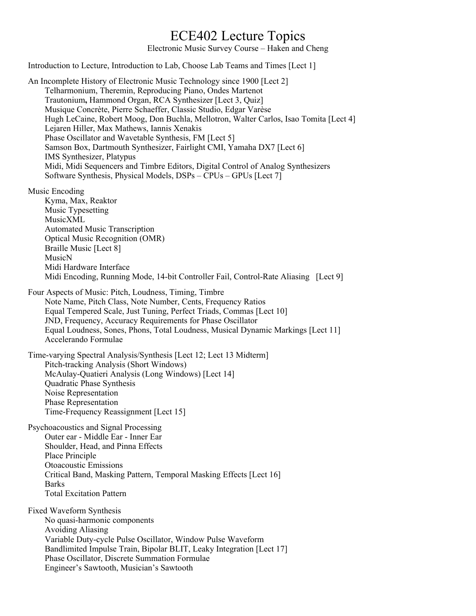## ECE402 Lecture Topics

Electronic Music Survey Course – Haken and Cheng

Introduction to Lecture, Introduction to Lab, Choose Lab Teams and Times [Lect 1]

An Incomplete History of Electronic Music Technology since 1900 [Lect 2] Telharmonium, Theremin, Reproducing Piano, Ondes Martenot Trautonium**,** Hammond Organ, RCA Synthesizer [Lect 3, Quiz] Musique Concrète, Pierre Schaeffer, Classic Studio, Edgar Varèse Hugh LeCaine, Robert Moog, Don Buchla, Mellotron, Walter Carlos, Isao Tomita [Lect 4] Lejaren Hiller, Max Mathews, Iannis Xenakis Phase Oscillator and Wavetable Synthesis, FM [Lect 5] Samson Box, Dartmouth Synthesizer, Fairlight CMI, Yamaha DX7 [Lect 6] IMS Synthesizer, Platypus Midi, Midi Sequencers and Timbre Editors, Digital Control of Analog Synthesizers Software Synthesis, Physical Models, DSPs – CPUs – GPUs [Lect 7] Music Encoding Kyma, Max, Reaktor Music Typesetting MusicXML Automated Music Transcription Optical Music Recognition (OMR) Braille Music [Lect 8] MusicN Midi Hardware Interface Midi Encoding, Running Mode, 14-bit Controller Fail, Control-Rate Aliasing [Lect 9] Four Aspects of Music: Pitch, Loudness, Timing, Timbre Note Name, Pitch Class, Note Number, Cents, Frequency Ratios Equal Tempered Scale, Just Tuning, Perfect Triads, Commas [Lect 10] JND, Frequency, Accuracy Requirements for Phase Oscillator Equal Loudness, Sones, Phons, Total Loudness, Musical Dynamic Markings [Lect 11] Accelerando Formulae Time-varying Spectral Analysis/Synthesis [Lect 12; Lect 13 Midterm] Pitch-tracking Analysis (Short Windows) McAulay-Quatieri Analysis (Long Windows) [Lect 14] Quadratic Phase Synthesis Noise Representation Phase Representation Time-Frequency Reassignment [Lect 15] Psychoacoustics and Signal Processing Outer ear - Middle Ear - Inner Ear Shoulder, Head, and Pinna Effects Place Principle Otoacoustic Emissions Critical Band, Masking Pattern, Temporal Masking Effects [Lect 16] Barks Total Excitation Pattern Fixed Waveform Synthesis No quasi-harmonic components Avoiding Aliasing Variable Duty-cycle Pulse Oscillator, Window Pulse Waveform Bandlimited Impulse Train, Bipolar BLIT, Leaky Integration [Lect 17] Phase Oscillator, Discrete Summation Formulae Engineer's Sawtooth, Musician's Sawtooth